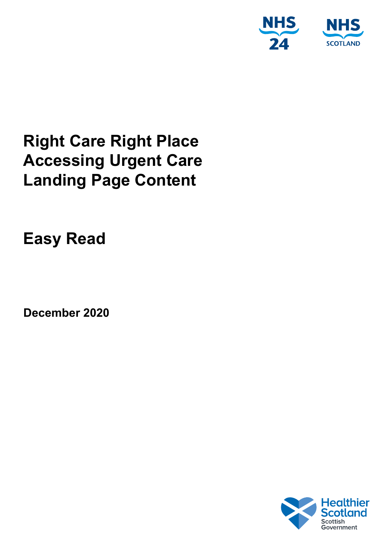

# **Right Care Right Place Accessing Urgent Care Landing Page Content**

**Easy Read**

**December 2020**

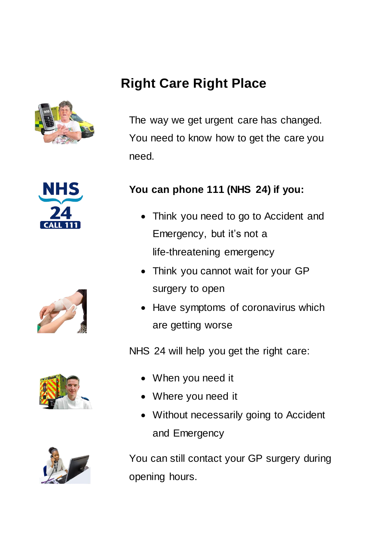# **Right Care Right Place**



The way we get urgent care has changed. You need to know how to get the care you need.









### **You can phone 111 (NHS 24) if you:**

- Think you need to go to Accident and Emergency, but it's not a life-threatening emergency
- Think you cannot wait for your GP surgery to open
- Have symptoms of coronavirus which are getting worse

NHS 24 will help you get the right care:

- When you need it
- Where you need it
- Without necessarily going to Accident and Emergency

You can still contact your GP surgery during opening hours.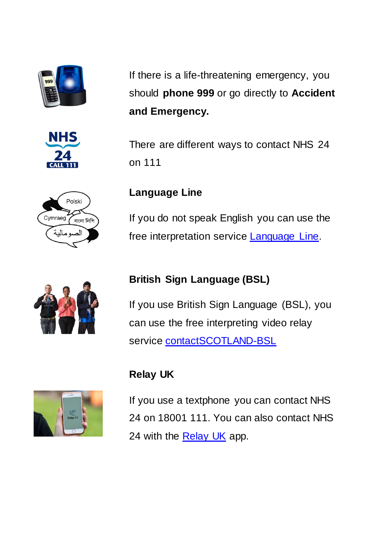







If there is a life-threatening emergency, you should **phone 999** or go directly to **Accident and Emergency.**

There are different ways to contact NHS 24 on 111

## **Language Line**

If you do not speak English you can use the free interpretation service **Language Line**.

## **British Sign Language (BSL)**

If you use British Sign Language (BSL), you can use the free interpreting video relay service **[contactSCOTLAND-BSL](https://contactscotland-bsl.org/)** 

## **Relay UK**



If you use a textphone you can contact NHS 24 on 18001 111. You can also contact NHS 24 with the **Relay UK** app.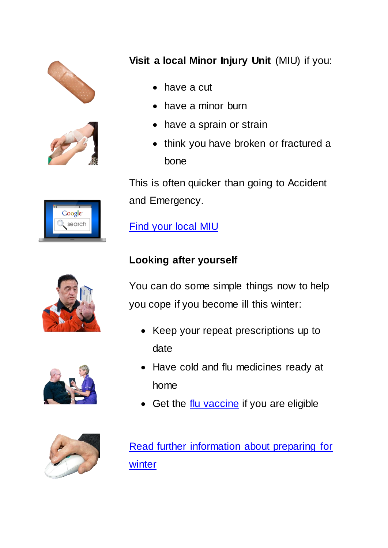



Google search

## **Visit a local Minor Injury Unit** (MIU) if you:

- have a cut
- have a minor burn
- have a sprain or strain
- think you have broken or fractured a bone

This is often quicker than going to Accident and Emergency.

[Find your local MIU](https://www.nhsinform.scot/scotlands-service-directory/aes-and-minor-injuries-units)





## **Looking after yourself**

You can do some simple things now to help you cope if you become ill this winter:

- Keep your repeat prescriptions up to date
- Have cold and flu medicines ready at home
- Get the [flu vaccine](https://www.nhsinform.scot/healthy-living/immunisation/vaccines/flu-vaccine) if you are eligible

[Read further information about preparing for](https://www.nhsinform.scot/campaigns/show-you-care-prepare)  [winter](https://www.nhsinform.scot/campaigns/show-you-care-prepare)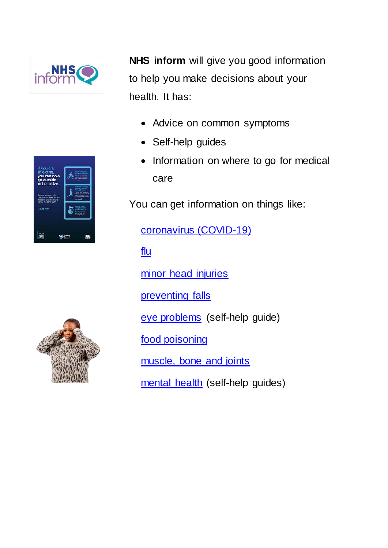

**SIMPLES** 

**NHS inform** will give you good information to help you make decisions about your health. It has:

- Advice on common symptoms
- Self-help guides
- Information on where to go for medical care

You can get information on things like:

[coronavirus \(COVID-19\)](https://www.nhsinform.scot/illnesses-and-conditions/infections-and-poisoning/coronavirus-covid-19)

[flu](https://www.nhsinform.scot/illnesses-and-conditions/infections-and-poisoning/flu)

[minor head injuries](https://www.nhsinform.scot/illnesses-and-conditions/injuries/head-and-neck-injuries/minor-head-injury)

[preventing falls](https://www.nhsinform.scot/healthy-living/preventing-falls)

[eye problems](https://www.nhsinform.scot/self-help-guides/self-help-guide-eye-problems) (self-help guide)

[food poisoning](https://www.nhsinform.scot/illnesses-and-conditions/infections-and-poisoning/food-poisoning)

[muscle, bone and joints](https://www.nhsinform.scot/illnesses-and-conditions/muscle-bone-and-joints)

[mental health](https://www.nhsinform.scot/self-help-guides#mental-health-self-help-guides) (self-help guides)

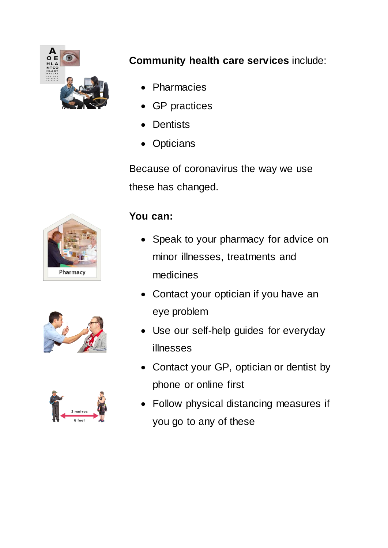

## **Community health care services** include:

- Pharmacies
- GP practices
- Dentists
- **Opticians**

Because of coronavirus the way we use these has changed.

# Pharmacy





## **You can:**

- Speak to your pharmacy for advice on minor illnesses, treatments and medicines
- Contact your optician if you have an eye problem
- Use our self-help guides for everyday illnesses
- Contact your GP, optician or dentist by phone or online first
- Follow physical distancing measures if you go to any of these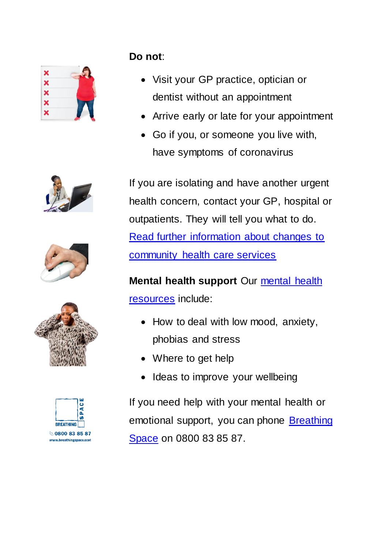









**Do not**:

- Visit your GP practice, optician or dentist without an appointment
- Arrive early or late for your appointment
- Go if you, or someone you live with, have symptoms of coronavirus

If you are isolating and have another urgent health concern, contact your GP, hospital or outpatients. They will tell you what to do. [Read further information about changes to](https://www.nhsinform.scot/campaigns/your-community-health-care-services)  [community health care services](https://www.nhsinform.scot/campaigns/your-community-health-care-services)

**Mental health support** Our [mental health](https://www.nhsinform.scot/healthy-living/mental-wellbeing)  [resources](https://www.nhsinform.scot/healthy-living/mental-wellbeing) include:

- How to deal with low mood, anxiety, phobias and stress
- Where to get help
- Ideas to improve your wellbeing

If you need help with your mental health or emotional support, you can phone [Breathing](https://www.nhsinform.scot/care-support-and-rights/nhs-services/helplines/breathing-space)  [Space](https://www.nhsinform.scot/care-support-and-rights/nhs-services/helplines/breathing-space) on 0800 83 85 87.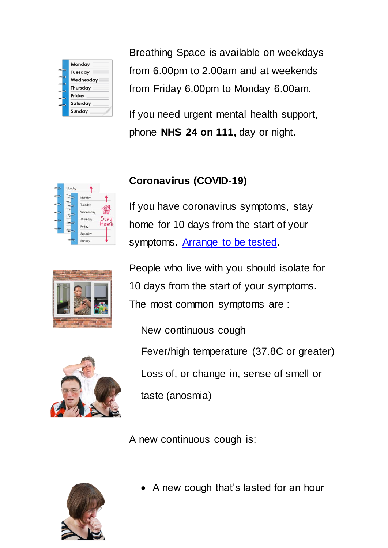

Breathing Space is available on weekdays from 6.00pm to 2.00am and at weekends from Friday 6.00pm to Monday 6.00am.

If you need urgent mental health support, phone **NHS 24 on 111,** day or night.

## **Coronavirus (COVID-19)**

If you have coronavirus symptoms, stay home for 10 days from the start of your symptoms. [Arrange to be tested.](https://www.nhsinform.scot/illnesses-and-conditions/infections-and-poisoning/coronavirus-covid-19/test-and-protect/coronavirus-covid-19-testing/)



People who live with you should isolate for 10 days from the start of your symptoms. The most common symptoms are :



New continuous cough Fever/high temperature (37.8C or greater) Loss of, or change in, sense of smell or taste (anosmia)

A new continuous cough is:



A new cough that's lasted for an hour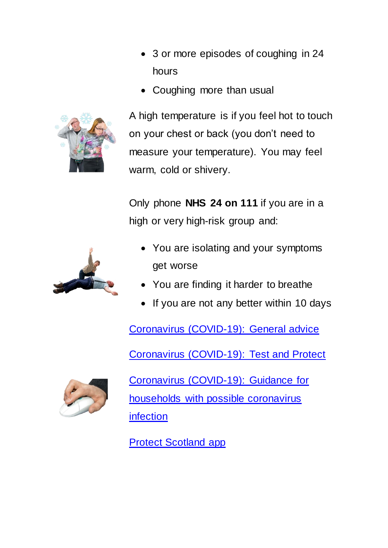

• 3 or more episodes of coughing in 24 hours

• Coughing more than usual

A high temperature is if you feel hot to touch on your chest or back (you don't need to measure your temperature). You may feel warm, cold or shivery.

Only phone **NHS 24 on 111** if you are in a high or very high-risk group and:



- You are isolating and your symptoms get worse
- You are finding it harder to breathe
- If you are not any better within 10 days

[Coronavirus \(COVID-19\): General advice](https://www.nhsinform.scot/illnesses-and-conditions/infections-and-poisoning/coronavirus-covid-19/coronavirus-covid-19-general-advice/)

[Coronavirus \(COVID-19\): Test and Protect](https://www.nhsinform.scot/illnesses-and-conditions/infections-and-poisoning/coronavirus-covid-19/test-and-protect/test-and-protect/)



[Coronavirus \(COVID-19\): Guidance for](https://www.nhsinform.scot/illnesses-and-conditions/infections-and-poisoning/coronavirus-covid-19/test-and-protect/coronavirus-covid-19-guidance-for-households-with-possible-coronavirus-infection)  [households with possible coronavirus](https://www.nhsinform.scot/illnesses-and-conditions/infections-and-poisoning/coronavirus-covid-19/test-and-protect/coronavirus-covid-19-guidance-for-households-with-possible-coronavirus-infection)  [infection](https://www.nhsinform.scot/illnesses-and-conditions/infections-and-poisoning/coronavirus-covid-19/test-and-protect/coronavirus-covid-19-guidance-for-households-with-possible-coronavirus-infection)

[Protect Scotland app](https://protect.scot/)